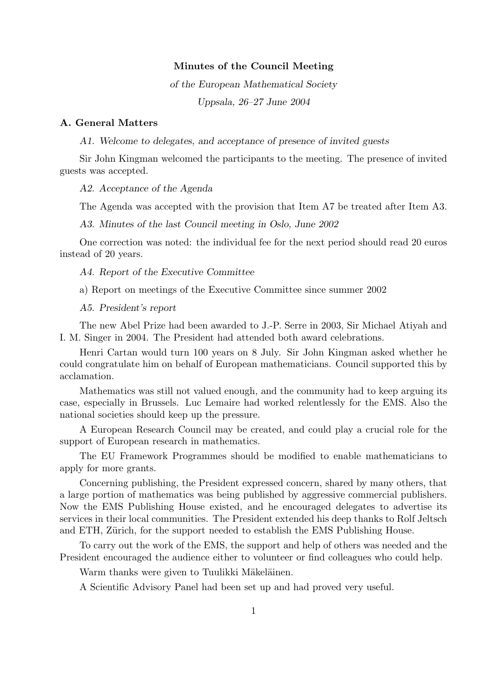## Minutes of the Council Meeting

of the European Mathematical Society Uppsala, 26–27 June 2004

## A. General Matters

A1. Welcome to delegates, and acceptance of presence of invited guests

Sir John Kingman welcomed the participants to the meeting. The presence of invited guests was accepted.

#### A2. Acceptance of the Agenda

The Agenda was accepted with the provision that Item A7 be treated after Item A3.

A3. Minutes of the last Council meeting in Oslo, June 2002

One correction was noted: the individual fee for the next period should read 20 euros instead of 20 years.

## A4. Report of the Executive Committee

a) Report on meetings of the Executive Committee since summer 2002

## A5. President's report

The new Abel Prize had been awarded to J.-P. Serre in 2003, Sir Michael Atiyah and I. M. Singer in 2004. The President had attended both award celebrations.

Henri Cartan would turn 100 years on 8 July. Sir John Kingman asked whether he could congratulate him on behalf of European mathematicians. Council supported this by acclamation.

Mathematics was still not valued enough, and the community had to keep arguing its case, especially in Brussels. Luc Lemaire had worked relentlessly for the EMS. Also the national societies should keep up the pressure.

A European Research Council may be created, and could play a crucial role for the support of European research in mathematics.

The EU Framework Programmes should be modified to enable mathematicians to apply for more grants.

Concerning publishing, the President expressed concern, shared by many others, that a large portion of mathematics was being published by aggressive commercial publishers. Now the EMS Publishing House existed, and he encouraged delegates to advertise its services in their local communities. The President extended his deep thanks to Rolf Jeltsch and ETH, Zürich, for the support needed to establish the EMS Publishing House.

To carry out the work of the EMS, the support and help of others was needed and the President encouraged the audience either to volunteer or find colleagues who could help.

Warm thanks were given to Tuulikki Mäkeläinen.

A Scientific Advisory Panel had been set up and had proved very useful.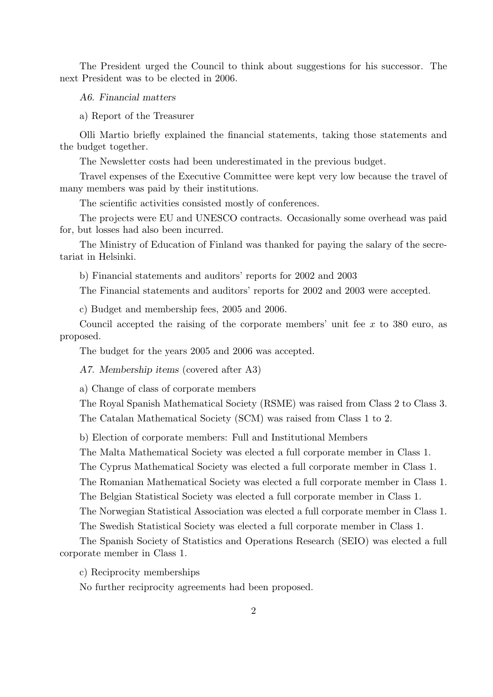The President urged the Council to think about suggestions for his successor. The next President was to be elected in 2006.

A6. Financial matters

a) Report of the Treasurer

Olli Martio briefly explained the financial statements, taking those statements and the budget together.

The Newsletter costs had been underestimated in the previous budget.

Travel expenses of the Executive Committee were kept very low because the travel of many members was paid by their institutions.

The scientific activities consisted mostly of conferences.

The projects were EU and UNESCO contracts. Occasionally some overhead was paid for, but losses had also been incurred.

The Ministry of Education of Finland was thanked for paying the salary of the secretariat in Helsinki.

b) Financial statements and auditors' reports for 2002 and 2003

The Financial statements and auditors' reports for 2002 and 2003 were accepted.

c) Budget and membership fees, 2005 and 2006.

Council accepted the raising of the corporate members' unit fee  $x$  to 380 euro, as proposed.

The budget for the years 2005 and 2006 was accepted.

A7. Membership items (covered after A3)

a) Change of class of corporate members

The Royal Spanish Mathematical Society (RSME) was raised from Class 2 to Class 3. The Catalan Mathematical Society (SCM) was raised from Class 1 to 2.

b) Election of corporate members: Full and Institutional Members

The Malta Mathematical Society was elected a full corporate member in Class 1.

The Cyprus Mathematical Society was elected a full corporate member in Class 1.

The Romanian Mathematical Society was elected a full corporate member in Class 1. The Belgian Statistical Society was elected a full corporate member in Class 1.

The Norwegian Statistical Association was elected a full corporate member in Class 1.

The Swedish Statistical Society was elected a full corporate member in Class 1.

The Spanish Society of Statistics and Operations Research (SEIO) was elected a full corporate member in Class 1.

c) Reciprocity memberships

No further reciprocity agreements had been proposed.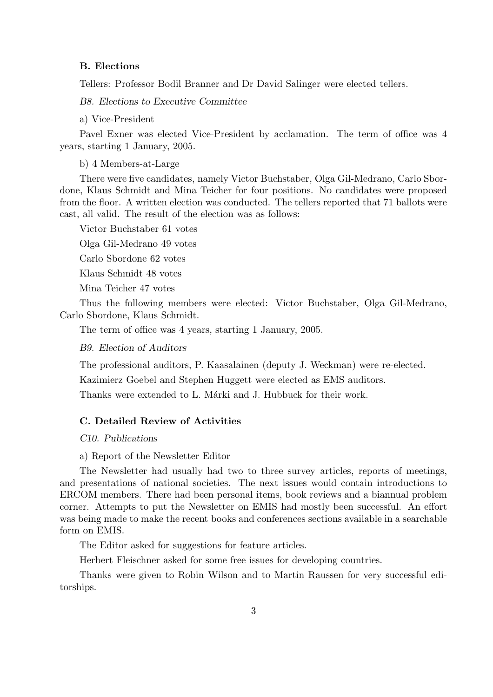#### B. Elections

Tellers: Professor Bodil Branner and Dr David Salinger were elected tellers.

B8. Elections to Executive Committee

a) Vice-President

Pavel Exner was elected Vice-President by acclamation. The term of office was 4 years, starting 1 January, 2005.

b) 4 Members-at-Large

There were five candidates, namely Victor Buchstaber, Olga Gil-Medrano, Carlo Sbordone, Klaus Schmidt and Mina Teicher for four positions. No candidates were proposed from the floor. A written election was conducted. The tellers reported that 71 ballots were cast, all valid. The result of the election was as follows:

Victor Buchstaber 61 votes

Olga Gil-Medrano 49 votes

Carlo Sbordone 62 votes

Klaus Schmidt 48 votes

Mina Teicher 47 votes

Thus the following members were elected: Victor Buchstaber, Olga Gil-Medrano, Carlo Sbordone, Klaus Schmidt.

The term of office was 4 years, starting 1 January, 2005.

B9. Election of Auditors

The professional auditors, P. Kaasalainen (deputy J. Weckman) were re-elected.

Kazimierz Goebel and Stephen Huggett were elected as EMS auditors.

Thanks were extended to L. Marki and J. Hubbuck for their work.

## C. Detailed Review of Activities

## C10. Publications

a) Report of the Newsletter Editor

The Newsletter had usually had two to three survey articles, reports of meetings, and presentations of national societies. The next issues would contain introductions to ERCOM members. There had been personal items, book reviews and a biannual problem corner. Attempts to put the Newsletter on EMIS had mostly been successful. An effort was being made to make the recent books and conferences sections available in a searchable form on EMIS.

The Editor asked for suggestions for feature articles.

Herbert Fleischner asked for some free issues for developing countries.

Thanks were given to Robin Wilson and to Martin Raussen for very successful editorships.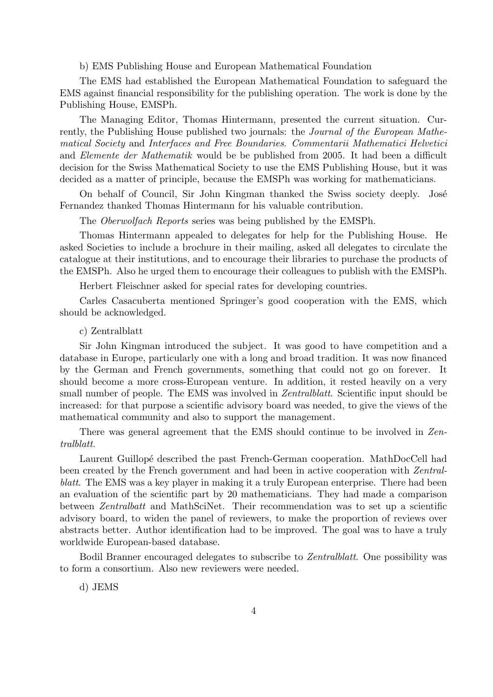#### b) EMS Publishing House and European Mathematical Foundation

The EMS had established the European Mathematical Foundation to safeguard the EMS against financial responsibility for the publishing operation. The work is done by the Publishing House, EMSPh.

The Managing Editor, Thomas Hintermann, presented the current situation. Currently, the Publishing House published two journals: the *Journal of the European Mathe*matical Society and Interfaces and Free Boundaries. Commentarii Mathematici Helvetici and Elemente der Mathematik would be be published from 2005. It had been a difficult decision for the Swiss Mathematical Society to use the EMS Publishing House, but it was decided as a matter of principle, because the EMSPh was working for mathematicians.

On behalf of Council, Sir John Kingman thanked the Swiss society deeply. José Fernandez thanked Thomas Hintermann for his valuable contribution.

The Oberwolfach Reports series was being published by the EMSPh.

Thomas Hintermann appealed to delegates for help for the Publishing House. He asked Societies to include a brochure in their mailing, asked all delegates to circulate the catalogue at their institutions, and to encourage their libraries to purchase the products of the EMSPh. Also he urged them to encourage their colleagues to publish with the EMSPh.

Herbert Fleischner asked for special rates for developing countries.

Carles Casacuberta mentioned Springer's good cooperation with the EMS, which should be acknowledged.

c) Zentralblatt

Sir John Kingman introduced the subject. It was good to have competition and a database in Europe, particularly one with a long and broad tradition. It was now financed by the German and French governments, something that could not go on forever. It should become a more cross-European venture. In addition, it rested heavily on a very small number of people. The EMS was involved in Zentralblatt. Scientific input should be increased: for that purpose a scientific advisory board was needed, to give the views of the mathematical community and also to support the management.

There was general agreement that the EMS should continue to be involved in Zentralblatt.

Laurent Guillopé described the past French-German cooperation. MathDocCell had been created by the French government and had been in active cooperation with Zentralblatt. The EMS was a key player in making it a truly European enterprise. There had been an evaluation of the scientific part by 20 mathematicians. They had made a comparison between Zentralbatt and MathSciNet. Their recommendation was to set up a scientific advisory board, to widen the panel of reviewers, to make the proportion of reviews over abstracts better. Author identification had to be improved. The goal was to have a truly worldwide European-based database.

Bodil Branner encouraged delegates to subscribe to Zentralblatt. One possibility was to form a consortium. Also new reviewers were needed.

d) JEMS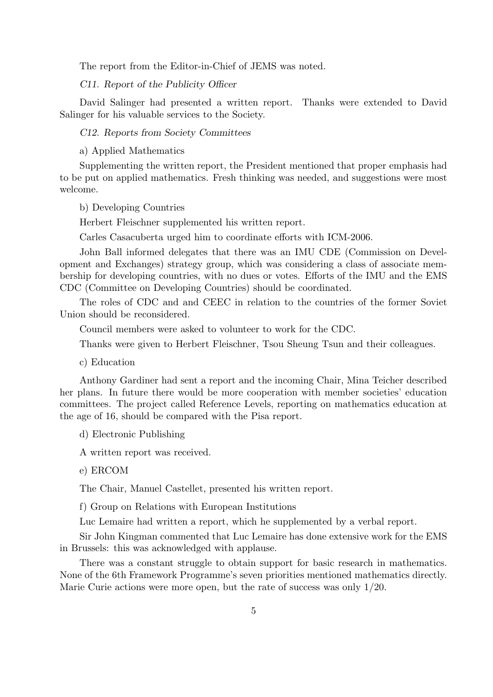The report from the Editor-in-Chief of JEMS was noted.

C11. Report of the Publicity Officer

David Salinger had presented a written report. Thanks were extended to David Salinger for his valuable services to the Society.

C12. Reports from Society Committees

a) Applied Mathematics

Supplementing the written report, the President mentioned that proper emphasis had to be put on applied mathematics. Fresh thinking was needed, and suggestions were most welcome.

b) Developing Countries

Herbert Fleischner supplemented his written report.

Carles Casacuberta urged him to coordinate efforts with ICM-2006.

John Ball informed delegates that there was an IMU CDE (Commission on Development and Exchanges) strategy group, which was considering a class of associate membership for developing countries, with no dues or votes. Efforts of the IMU and the EMS CDC (Committee on Developing Countries) should be coordinated.

The roles of CDC and and CEEC in relation to the countries of the former Soviet Union should be reconsidered.

Council members were asked to volunteer to work for the CDC.

Thanks were given to Herbert Fleischner, Tsou Sheung Tsun and their colleagues.

c) Education

Anthony Gardiner had sent a report and the incoming Chair, Mina Teicher described her plans. In future there would be more cooperation with member societies' education committees. The project called Reference Levels, reporting on mathematics education at the age of 16, should be compared with the Pisa report.

d) Electronic Publishing

A written report was received.

e) ERCOM

The Chair, Manuel Castellet, presented his written report.

f) Group on Relations with European Institutions

Luc Lemaire had written a report, which he supplemented by a verbal report.

Sir John Kingman commented that Luc Lemaire has done extensive work for the EMS in Brussels: this was acknowledged with applause.

There was a constant struggle to obtain support for basic research in mathematics. None of the 6th Framework Programme's seven priorities mentioned mathematics directly. Marie Curie actions were more open, but the rate of success was only 1/20.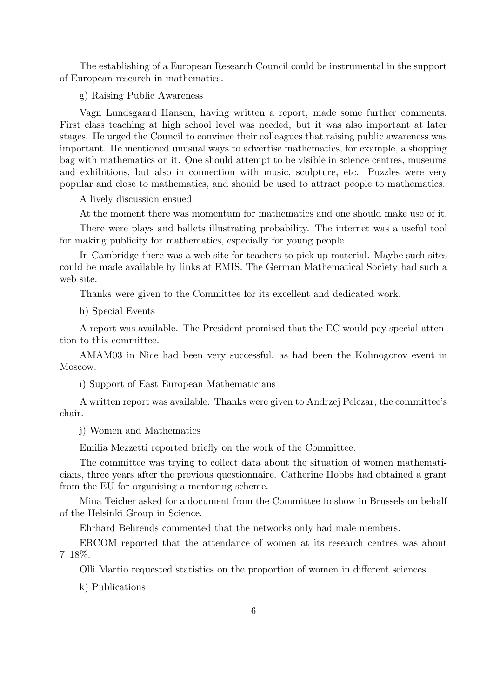The establishing of a European Research Council could be instrumental in the support of European research in mathematics.

g) Raising Public Awareness

Vagn Lundsgaard Hansen, having written a report, made some further comments. First class teaching at high school level was needed, but it was also important at later stages. He urged the Council to convince their colleagues that raising public awareness was important. He mentioned unusual ways to advertise mathematics, for example, a shopping bag with mathematics on it. One should attempt to be visible in science centres, museums and exhibitions, but also in connection with music, sculpture, etc. Puzzles were very popular and close to mathematics, and should be used to attract people to mathematics.

A lively discussion ensued.

At the moment there was momentum for mathematics and one should make use of it.

There were plays and ballets illustrating probability. The internet was a useful tool for making publicity for mathematics, especially for young people.

In Cambridge there was a web site for teachers to pick up material. Maybe such sites could be made available by links at EMIS. The German Mathematical Society had such a web site.

Thanks were given to the Committee for its excellent and dedicated work.

h) Special Events

A report was available. The President promised that the EC would pay special attention to this committee.

AMAM03 in Nice had been very successful, as had been the Kolmogorov event in Moscow.

i) Support of East European Mathematicians

A written report was available. Thanks were given to Andrzej Pelczar, the committee's chair.

j) Women and Mathematics

Emilia Mezzetti reported briefly on the work of the Committee.

The committee was trying to collect data about the situation of women mathematicians, three years after the previous questionnaire. Catherine Hobbs had obtained a grant from the EU for organising a mentoring scheme.

Mina Teicher asked for a document from the Committee to show in Brussels on behalf of the Helsinki Group in Science.

Ehrhard Behrends commented that the networks only had male members.

ERCOM reported that the attendance of women at its research centres was about  $7-18\%$ .

Olli Martio requested statistics on the proportion of women in different sciences.

k) Publications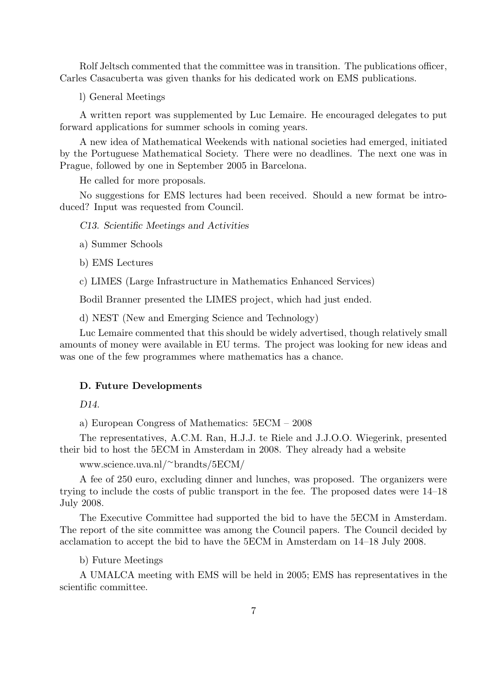Rolf Jeltsch commented that the committee was in transition. The publications officer, Carles Casacuberta was given thanks for his dedicated work on EMS publications.

l) General Meetings

A written report was supplemented by Luc Lemaire. He encouraged delegates to put forward applications for summer schools in coming years.

A new idea of Mathematical Weekends with national societies had emerged, initiated by the Portuguese Mathematical Society. There were no deadlines. The next one was in Prague, followed by one in September 2005 in Barcelona.

He called for more proposals.

No suggestions for EMS lectures had been received. Should a new format be introduced? Input was requested from Council.

C13. Scientific Meetings and Activities

a) Summer Schools

- b) EMS Lectures
- c) LIMES (Large Infrastructure in Mathematics Enhanced Services)

Bodil Branner presented the LIMES project, which had just ended.

d) NEST (New and Emerging Science and Technology)

Luc Lemaire commented that this should be widely advertised, though relatively small amounts of money were available in EU terms. The project was looking for new ideas and was one of the few programmes where mathematics has a chance.

## D. Future Developments

D<sub>14</sub>

a) European Congress of Mathematics: 5ECM – 2008

The representatives, A.C.M. Ran, H.J.J. te Riele and J.J.O.O. Wiegerink, presented their bid to host the 5ECM in Amsterdam in 2008. They already had a website

www.science.uva.nl/<sup>∼</sup>brandts/5ECM/

A fee of 250 euro, excluding dinner and lunches, was proposed. The organizers were trying to include the costs of public transport in the fee. The proposed dates were 14–18 July 2008.

The Executive Committee had supported the bid to have the 5ECM in Amsterdam. The report of the site committee was among the Council papers. The Council decided by acclamation to accept the bid to have the 5ECM in Amsterdam on 14–18 July 2008.

b) Future Meetings

A UMALCA meeting with EMS will be held in 2005; EMS has representatives in the scientific committee.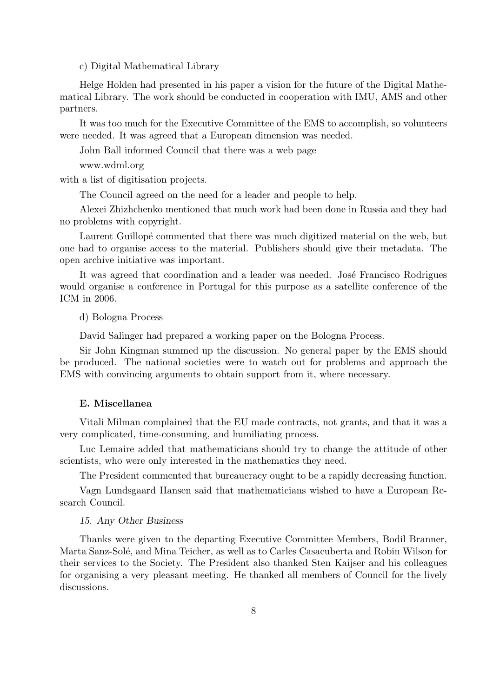c) Digital Mathematical Library

Helge Holden had presented in his paper a vision for the future of the Digital Mathematical Library. The work should be conducted in cooperation with IMU, AMS and other partners.

It was too much for the Executive Committee of the EMS to accomplish, so volunteers were needed. It was agreed that a European dimension was needed.

John Ball informed Council that there was a web page

www.wdml.org

with a list of digitisation projects.

The Council agreed on the need for a leader and people to help.

Alexei Zhizhchenko mentioned that much work had been done in Russia and they had no problems with copyright.

Laurent Guillopé commented that there was much digitized material on the web, but one had to organise access to the material. Publishers should give their metadata. The open archive initiative was important.

It was agreed that coordination and a leader was needed. José Francisco Rodrigues would organise a conference in Portugal for this purpose as a satellite conference of the ICM in 2006.

d) Bologna Process

David Salinger had prepared a working paper on the Bologna Process.

Sir John Kingman summed up the discussion. No general paper by the EMS should be produced. The national societies were to watch out for problems and approach the EMS with convincing arguments to obtain support from it, where necessary.

## E. Miscellanea

Vitali Milman complained that the EU made contracts, not grants, and that it was a very complicated, time-consuming, and humiliating process.

Luc Lemaire added that mathematicians should try to change the attitude of other scientists, who were only interested in the mathematics they need.

The President commented that bureaucracy ought to be a rapidly decreasing function.

Vagn Lundsgaard Hansen said that mathematicians wished to have a European Research Council.

#### 15. Any Other Business

Thanks were given to the departing Executive Committee Members, Bodil Branner, Marta Sanz-Solé, and Mina Teicher, as well as to Carles Casacuberta and Robin Wilson for their services to the Society. The President also thanked Sten Kaijser and his colleagues for organising a very pleasant meeting. He thanked all members of Council for the lively discussions.